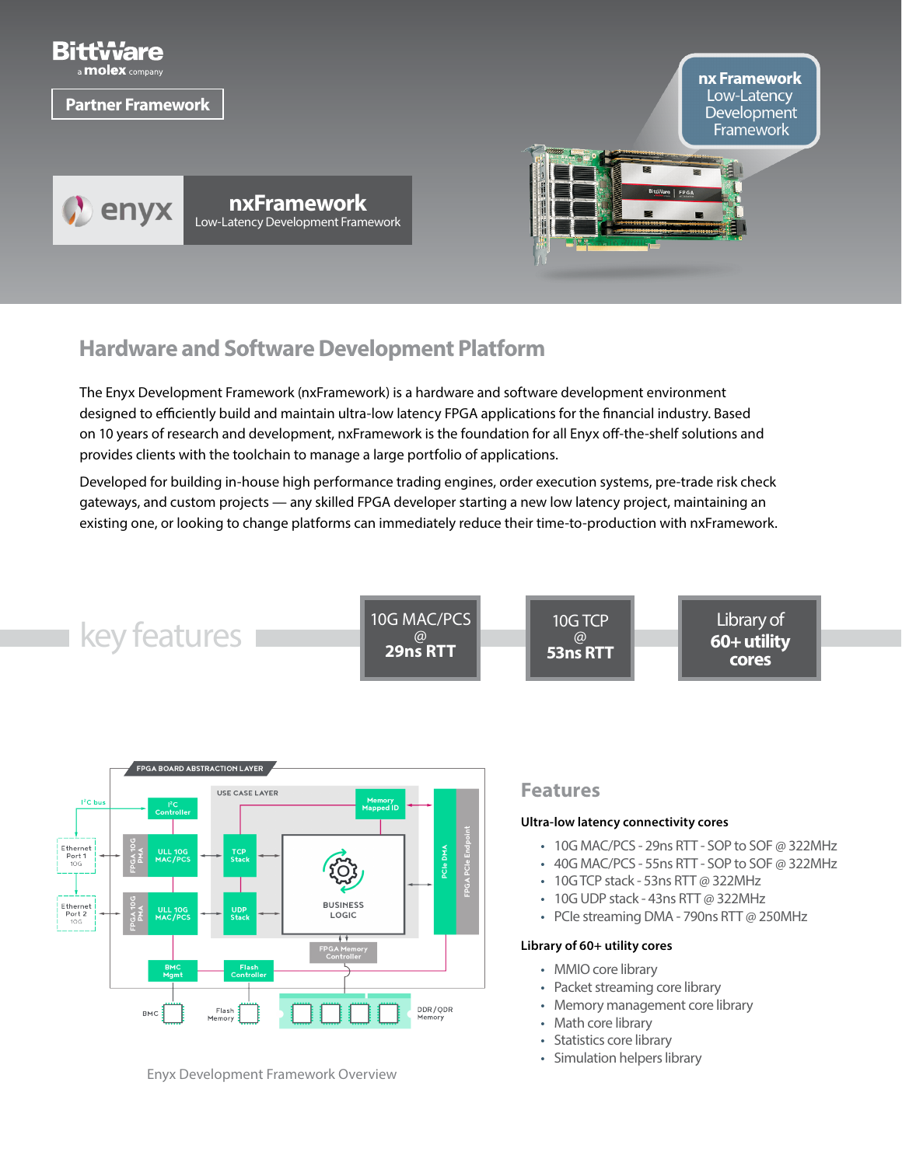

# **Hardware and Software Development Platform**

The Enyx Development Framework (nxFramework) is a hardware and software development environment designed to efficiently build and maintain ultra-low latency FPGA applications for the financial industry. Based on 10 years of research and development, nxFramework is the foundation for all Enyx off-the-shelf solutions and provides clients with the toolchain to manage a large portfolio of applications.

Developed for building in-house high performance trading engines, order execution systems, pre-trade risk check gateways, and custom projects — any skilled FPGA developer starting a new low latency project, maintaining an existing one, or looking to change platforms can immediately reduce their time-to-production with nxFramework.





Enyx Development Framework Overview

### **Features**

#### **Ultra-low latency connectivity cores**

- 10G MAC/PCS 29ns RTT SOP to SOF @ 322MHz
- 40G MAC/PCS 55ns RTT SOP to SOF @ 322MHz
- 10G TCP stack 53ns RTT @ 322MHz
- 10G UDP stack 43ns RTT @ 322MHz
- PCIe streaming DMA 790ns RTT @ 250MHz

#### **Library of 60+ utility cores**

- MMIO core library
- Packet streaming core library
- Memory management core library
- Math core library
- Statistics core library
- Simulation helpers library